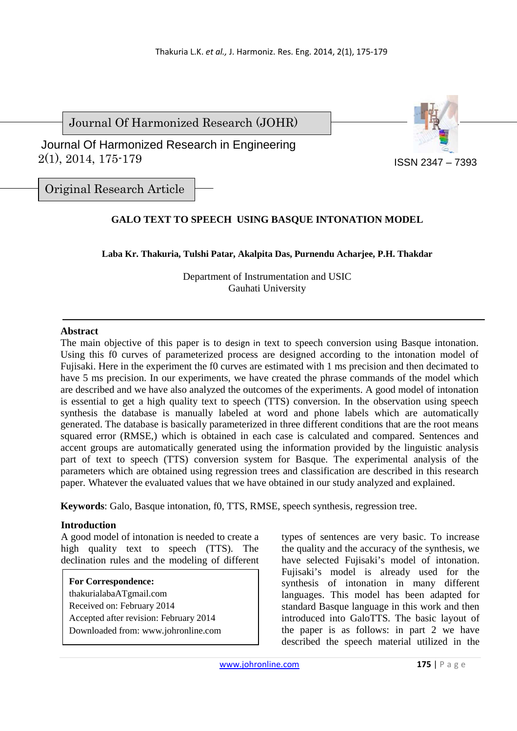Journal Of Harmonized Research (JOHR)



 2(1), 2014, 175-179 Journal Of Harmonized Research in Engineering

ISSN 2347 – 7393

Original Research Article

# **GALO TEXT TO SPEECH USING BASQUE INTONATION MODEL**

**Laba Kr. Thakuria, Tulshi Patar, Akalpita Das, Purnendu Acharjee, P.H. Thakdar** 

Department of Instrumentation and USIC Gauhati University

#### **Abstract**

The main objective of this paper is to design in text to speech conversion using Basque intonation. Using this f0 curves of parameterized process are designed according to the intonation model of Fujisaki. Here in the experiment the f0 curves are estimated with 1 ms precision and then decimated to have 5 ms precision. In our experiments, we have created the phrase commands of the model which are described and we have also analyzed the outcomes of the experiments. A good model of intonation is essential to get a high quality text to speech (TTS) conversion. In the observation using speech synthesis the database is manually labeled at word and phone labels which are automatically generated. The database is basically parameterized in three different conditions that are the root means squared error (RMSE,) which is obtained in each case is calculated and compared. Sentences and accent groups are automatically generated using the information provided by the linguistic analysis part of text to speech (TTS) conversion system for Basque. The experimental analysis of the parameters which are obtained using regression trees and classification are described in this research paper. Whatever the evaluated values that we have obtained in our study analyzed and explained.

**Keywords**: Galo, Basque intonation, f0, TTS, RMSE, speech synthesis, regression tree.

#### **Introduction**  $\overline{a}$

A good model of intonation is needed to create a high quality text to speech (TTS). The declination rules and the modeling of different

# **For Correspondence:**

thakurialabaATgmail.com Received on: February 2014 Accepted after revision: February 2014 Downloaded from: www.johronline.com types of sentences are very basic. To increase the quality and the accuracy of the synthesis, we have selected Fujisaki's model of intonation. Fujisaki's model is already used for the synthesis of intonation in many different languages. This model has been adapted for standard Basque language in this work and then introduced into GaloTTS. The basic layout of the paper is as follows: in part 2 we have described the speech material utilized in the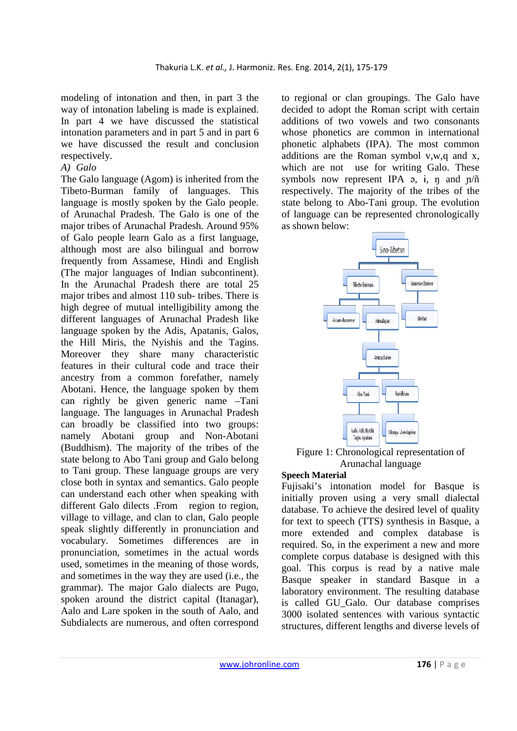modeling of intonation and then, in part 3 the way of intonation labeling is made is explained. In part 4 we have discussed the statistical intonation parameters and in part 5 and in part 6 we have discussed the result and conclusion respectively.

# *A) Galo*

The Galo language (Agom) is inherited from the Tibeto-Burman family of languages. This language is mostly spoken by the Galo people. of Arunachal Pradesh. The Galo is one of the major tribes of Arunachal Pradesh. Around 95% of Galo people learn Galo as a first language, although most are also bilingual and borrow frequently from Assamese, Hindi and English (The major languages of Indian subcontinent). In the Arunachal Pradesh there are total 25 major tribes and almost 110 sub- tribes. There is high degree of mutual intelligibility among the different languages of Arunachal Pradesh like language spoken by the Adis, Apatanis, Galos, the Hill Miris, the Nyishis and the Tagins. Moreover they share many characteristic features in their cultural code and trace their ancestry from a common forefather, namely Abotani. Hence, the language spoken by them can rightly be given generic name –Tani language. The languages in Arunachal Pradesh can broadly be classified into two groups: namely Abotani group and Non-Abotani (Buddhism). The majority of the tribes of the state belong to Abo Tani group and Galo belong to Tani group. These language groups are very close both in syntax and semantics. Galo people can understand each other when speaking with different Galo dilects .From region to region, village to village, and clan to clan, Galo people speak slightly differently in pronunciation and vocabulary. Sometimes differences are in pronunciation, sometimes in the actual words used, sometimes in the meaning of those words, and sometimes in the way they are used (i.e., the grammar). The major Galo dialects are Pugo, spoken around the district capital (Itanagar), Aalo and Lare spoken in the south of Aalo, and Subdialects are numerous, and often correspond

to regional or clan groupings. The Galo have decided to adopt the Roman script with certain additions of two vowels and two consonants whose phonetics are common in international phonetic alphabets (IPA). The most common additions are the Roman symbol v,w,q and x, which are not use for writing Galo. These symbols now represent IPA  $\varphi$ ,  $\varphi$ ,  $\varphi$  and  $\eta/\tilde{n}$ respectively. The majority of the tribes of the state belong to Abo-Tani group. The evolution of language can be represented chronologically as shown below:



Figure 1: Chronological representation of Arunachal language

#### **Speech Material**

Fujisaki's intonation model for Basque is initially proven using a very small dialectal database. To achieve the desired level of quality for text to speech (TTS) synthesis in Basque, a more extended and complex database is required. So, in the experiment a new and more complete corpus database is designed with this goal. This corpus is read by a native male Basque speaker in standard Basque in a laboratory environment. The resulting database is called GU\_Galo. Our database comprises 3000 isolated sentences with various syntactic structures, different lengths and diverse levels of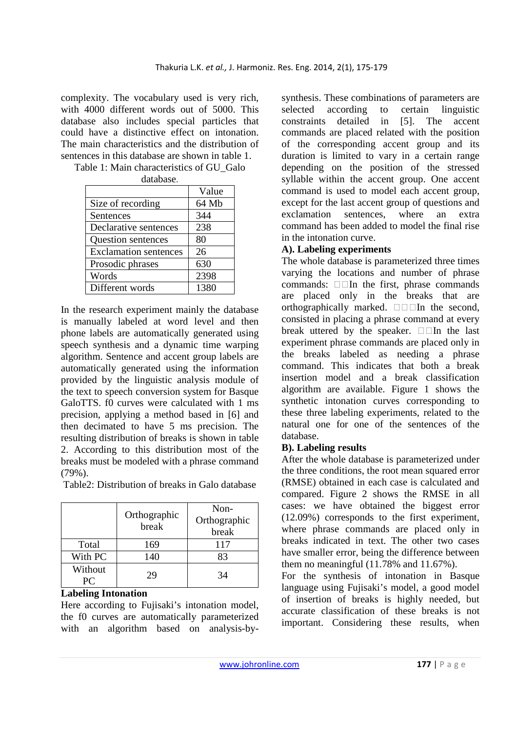complexity. The vocabulary used is very rich, with 4000 different words out of 5000. This database also includes special particles that could have a distinctive effect on intonation. The main characteristics and the distribution of sentences in this database are shown in table 1.

|                              | Value |
|------------------------------|-------|
| Size of recording            | 64 Mb |
| Sentences                    | 344   |
| Declarative sentences        | 238   |
| Question sentences           | 80    |
| <b>Exclamation sentences</b> | 26    |
| Prosodic phrases             | 630   |
| Words                        | 2398  |
| Different words              | 1380  |

Table 1: Main characteristics of GU\_Galo database.

In the research experiment mainly the database is manually labeled at word level and then phone labels are automatically generated using speech synthesis and a dynamic time warping algorithm. Sentence and accent group labels are automatically generated using the information provided by the linguistic analysis module of the text to speech conversion system for Basque GaloTTS. f0 curves were calculated with 1 ms precision, applying a method based in [6] and then decimated to have 5 ms precision. The resulting distribution of breaks is shown in table 2. According to this distribution most of the breaks must be modeled with a phrase command (79%).

Table2: Distribution of breaks in Galo database

|               | Orthographic<br>break | Non-<br>Orthographic<br>break |
|---------------|-----------------------|-------------------------------|
| Total         | 169                   | 117                           |
| With PC       | 140                   | 83                            |
| Without<br>PC | 29                    | 34                            |

## **Labeling Intonation**

Here according to Fujisaki's intonation model, the f0 curves are automatically parameterized with an algorithm based on analysis-bysynthesis. These combinations of parameters are selected according to certain linguistic constraints detailed in [5]. The accent commands are placed related with the position of the corresponding accent group and its duration is limited to vary in a certain range depending on the position of the stressed syllable within the accent group. One accent command is used to model each accent group, except for the last accent group of questions and exclamation sentences, where an extra command has been added to model the final rise in the intonation curve.

# **A). Labeling experiments**

The whole database is parameterized three times varying the locations and number of phrase commands:  $\square \square$  the first, phrase commands are placed only in the breaks that are orthographically marked.  $\Box$   $\Box$  In the second, consisted in placing a phrase command at every break uttered by the speaker.  $\Box$  In the last experiment phrase commands are placed only in the breaks labeled as needing a phrase command. This indicates that both a break insertion model and a break classification algorithm are available. Figure 1 shows the synthetic intonation curves corresponding to these three labeling experiments, related to the natural one for one of the sentences of the database.

### **B). Labeling results**

After the whole database is parameterized under the three conditions, the root mean squared error (RMSE) obtained in each case is calculated and compared. Figure 2 shows the RMSE in all cases: we have obtained the biggest error (12.09%) corresponds to the first experiment, where phrase commands are placed only in breaks indicated in text. The other two cases have smaller error, being the difference between them no meaningful (11.78% and 11.67%).

For the synthesis of intonation in Basque language using Fujisaki's model, a good model of insertion of breaks is highly needed, but accurate classification of these breaks is not important. Considering these results, when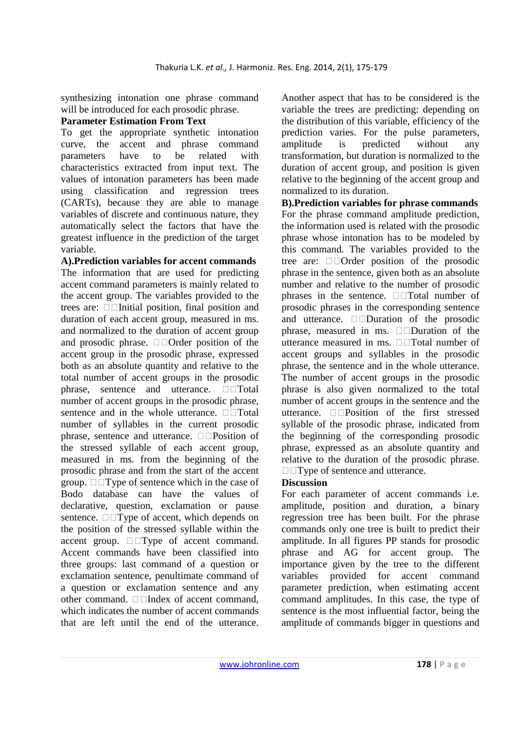synthesizing intonation one phrase command will be introduced for each prosodic phrase.

# **Parameter Estimation From Text**

To get the appropriate synthetic intonation curve, the accent and phrase command parameters have to be related with characteristics extracted from input text. The values of intonation parameters has been made using classification and regression trees (CARTs), because they are able to manage variables of discrete and continuous nature, they automatically select the factors that have the greatest influence in the prediction of the target variable.

**A).Prediction variables for accent commands**  The information that are used for predicting accent command parameters is mainly related to the accent group. The variables provided to the trees are:  $\Box$  Initial position, final position and duration of each accent group, measured in ms. and normalized to the duration of accent group and prosodic phrase. Order position of the accent group in the prosodic phrase, expressed both as an absolute quantity and relative to the total number of accent groups in the prosodic phrase, sentence and utterance.  $\square$ Total number of accent groups in the prosodic phrase, sentence and in the whole utterance.  $\square$  Total number of syllables in the current prosodic phrase, sentence and utterance.  $\Box$  Position of the stressed syllable of each accent group, measured in ms. from the beginning of the prosodic phrase and from the start of the accent group.  $\Box$  Type of sentence which in the case of Bodo database can have the values of declarative, question, exclamation or pause sentence.  $\square \square$  Type of accent, which depends on the position of the stressed syllable within the accent group.  $\square \square$ Type of accent command. Accent commands have been classified into three groups: last command of a question or exclamation sentence, penultimate command of a question or exclamation sentence and any other command.  $\Box$  Index of accent command, which indicates the number of accent commands that are left until the end of the utterance.

Another aspect that has to be considered is the variable the trees are predicting: depending on the distribution of this variable, efficiency of the prediction varies. For the pulse parameters, amplitude is predicted without any transformation, but duration is normalized to the duration of accent group, and position is given relative to the beginning of the accent group and normalized to its duration.

**B).Prediction variables for phrase commands**  For the phrase command amplitude prediction, the information used is related with the prosodic phrase whose intonation has to be modeled by this command. The variables provided to the tree are: Order position of the prosodic phrase in the sentence, given both as an absolute number and relative to the number of prosodic phrases in the sentence.  $\square$  Total number of prosodic phrases in the corresponding sentence and utterance.  $\square$  Duration of the prosodic phrase, measured in ms.  $\Box$ Duration of the utterance measured in ms.  $\Box$  Total number of accent groups and syllables in the prosodic phrase, the sentence and in the whole utterance. The number of accent groups in the prosodic phrase is also given normalized to the total number of accent groups in the sentence and the utterance.  $\Box$  Position of the first stressed syllable of the prosodic phrase, indicated from the beginning of the corresponding prosodic phrase, expressed as an absolute quantity and relative to the duration of the prosodic phrase.  $\Box$  Type of sentence and utterance.

# **Discussion**

For each parameter of accent commands i.e. amplitude, position and duration, a binary regression tree has been built. For the phrase commands only one tree is built to predict their amplitude. In all figures PP stands for prosodic phrase and AG for accent group. The importance given by the tree to the different variables provided for accent command parameter prediction, when estimating accent command amplitudes. In this case, the type of sentence is the most influential factor, being the amplitude of commands bigger in questions and